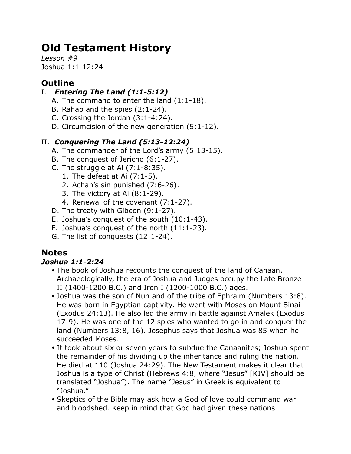# **Old Testament History**

*Lesson #9* Joshua 1:1-12:24

# **Outline**

## I. *Entering The Land (1:1-5:12)*

- A. The command to enter the land (1:1-18).
- B. Rahab and the spies (2:1-24).
- C. Crossing the Jordan (3:1-4:24).
- D. Circumcision of the new generation (5:1-12).

## II. *Conquering The Land (5:13-12:24)*

- A. The commander of the Lord's army (5:13-15).
- B. The conquest of Jericho (6:1-27).
- C. The struggle at Ai  $(7:1-8:35)$ .
	- 1. The defeat at Ai (7:1-5).
	- 2. Achan's sin punished (7:6-26).
	- 3. The victory at Ai (8:1-29).
	- 4. Renewal of the covenant (7:1-27).
- D. The treaty with Gibeon (9:1-27).
- E. Joshua's conquest of the south (10:1-43).
- F. Joshua's conquest of the north (11:1-23).
- G. The list of conquests (12:1-24).

# **Notes**

## *Joshua 1:1-2:24*

- The book of Joshua recounts the conquest of the land of Canaan. Archaeologically, the era of Joshua and Judges occupy the Late Bronze II (1400-1200 B.C.) and Iron I (1200-1000 B.C.) ages.
- Joshua was the son of Nun and of the tribe of Ephraim (Numbers 13:8). He was born in Egyptian captivity. He went with Moses on Mount Sinai (Exodus 24:13). He also led the army in battle against Amalek (Exodus 17:9). He was one of the 12 spies who wanted to go in and conquer the land (Numbers 13:8, 16). Josephus says that Joshua was 85 when he succeeded Moses.
- It took about six or seven years to subdue the Canaanites; Joshua spent the remainder of his dividing up the inheritance and ruling the nation. He died at 110 (Joshua 24:29). The New Testament makes it clear that Joshua is a type of Christ (Hebrews 4:8, where "Jesus" [KJV] should be translated "Joshua"). The name "Jesus" in Greek is equivalent to "Joshua."
- Skeptics of the Bible may ask how a God of love could command war and bloodshed. Keep in mind that God had given these nations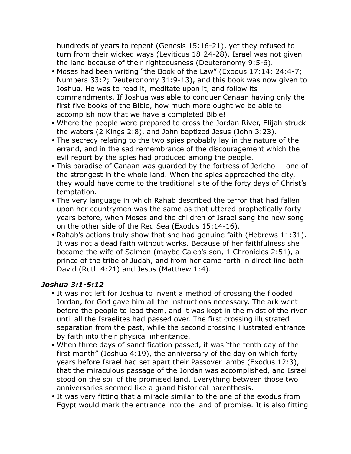hundreds of years to repent (Genesis 15:16-21), yet they refused to turn from their wicked ways (Leviticus 18:24-28). Israel was not given the land because of their righteousness (Deuteronomy 9:5-6).

- Moses had been writing "the Book of the Law" (Exodus 17:14; 24:4-7; Numbers 33:2; Deuteronomy 31:9-13), and this book was now given to Joshua. He was to read it, meditate upon it, and follow its commandments. If Joshua was able to conquer Canaan having only the first five books of the Bible, how much more ought we be able to accomplish now that we have a completed Bible!
- Where the people were prepared to cross the Jordan River, Elijah struck the waters (2 Kings 2:8), and John baptized Jesus (John 3:23).
- The secrecy relating to the two spies probably lay in the nature of the errand, and in the sad remembrance of the discouragement which the evil report by the spies had produced among the people.
- This paradise of Canaan was guarded by the fortress of Jericho -- one of the strongest in the whole land. When the spies approached the city, they would have come to the traditional site of the forty days of Christ's temptation.
- The very language in which Rahab described the terror that had fallen upon her countrymen was the same as that uttered prophetically forty years before, when Moses and the children of Israel sang the new song on the other side of the Red Sea (Exodus 15:14-16).
- Rahab's actions truly show that she had genuine faith (Hebrews 11:31). It was not a dead faith without works. Because of her faithfulness she became the wife of Salmon (maybe Caleb's son, 1 Chronicles 2:51), a prince of the tribe of Judah, and from her came forth in direct line both David (Ruth 4:21) and Jesus (Matthew 1:4).

#### *Joshua 3:1-5:12*

- It was not left for Joshua to invent a method of crossing the flooded Jordan, for God gave him all the instructions necessary. The ark went before the people to lead them, and it was kept in the midst of the river until all the Israelites had passed over. The first crossing illustrated separation from the past, while the second crossing illustrated entrance by faith into their physical inheritance.
- When three days of sanctification passed, it was "the tenth day of the first month" (Joshua 4:19), the anniversary of the day on which forty years before Israel had set apart their Passover lambs (Exodus 12:3), that the miraculous passage of the Jordan was accomplished, and Israel stood on the soil of the promised land. Everything between those two anniversaries seemed like a grand historical parenthesis.
- It was very fitting that a miracle similar to the one of the exodus from Egypt would mark the entrance into the land of promise. It is also fitting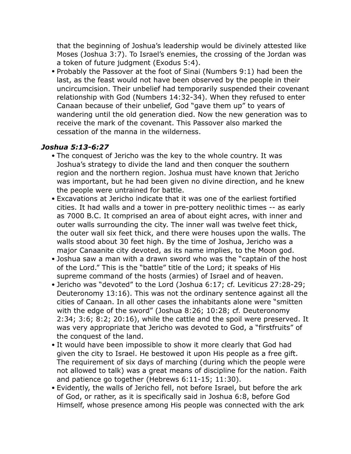that the beginning of Joshua's leadership would be divinely attested like Moses (Joshua 3:7). To Israel's enemies, the crossing of the Jordan was a token of future judgment (Exodus 5:4).

• Probably the Passover at the foot of Sinai (Numbers 9:1) had been the last, as the feast would not have been observed by the people in their uncircumcision. Their unbelief had temporarily suspended their covenant relationship with God (Numbers 14:32-34). When they refused to enter Canaan because of their unbelief, God "gave them up" to years of wandering until the old generation died. Now the new generation was to receive the mark of the covenant. This Passover also marked the cessation of the manna in the wilderness.

#### *Joshua 5:13-6:27*

- The conquest of Jericho was the key to the whole country. It was Joshua's strategy to divide the land and then conquer the southern region and the northern region. Joshua must have known that Jericho was important, but he had been given no divine direction, and he knew the people were untrained for battle.
- Excavations at Jericho indicate that it was one of the earliest fortified cities. It had walls and a tower in pre-pottery neolithic times -- as early as 7000 B.C. It comprised an area of about eight acres, with inner and outer walls surrounding the city. The inner wall was twelve feet thick, the outer wall six feet thick, and there were houses upon the walls. The walls stood about 30 feet high. By the time of Joshua, Jericho was a major Canaanite city devoted, as its name implies, to the Moon god.
- Joshua saw a man with a drawn sword who was the "captain of the host of the Lord." This is the "battle" title of the Lord; it speaks of His supreme command of the hosts (armies) of Israel and of heaven.
- Jericho was "devoted" to the Lord (Joshua 6:17; cf. Leviticus 27:28-29; Deuteronomy 13:16). This was not the ordinary sentence against all the cities of Canaan. In all other cases the inhabitants alone were "smitten with the edge of the sword" (Joshua 8:26; 10:28; cf. Deuteronomy 2:34; 3:6; 8:2; 20:16), while the cattle and the spoil were preserved. It was very appropriate that Jericho was devoted to God, a "firstfruits" of the conquest of the land.
- It would have been impossible to show it more clearly that God had given the city to Israel. He bestowed it upon His people as a free gift. The requirement of six days of marching (during which the people were not allowed to talk) was a great means of discipline for the nation. Faith and patience go together (Hebrews 6:11-15; 11:30).
- Evidently, the walls of Jericho fell, not before Israel, but before the ark of God, or rather, as it is specifically said in Joshua 6:8, before God Himself, whose presence among His people was connected with the ark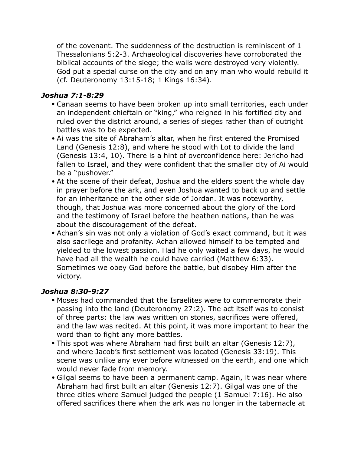of the covenant. The suddenness of the destruction is reminiscent of 1 Thessalonians 5:2-3. Archaeological discoveries have corroborated the biblical accounts of the siege; the walls were destroyed very violently. God put a special curse on the city and on any man who would rebuild it (cf. Deuteronomy 13:15-18; 1 Kings 16:34).

#### *Joshua 7:1-8:29*

- Canaan seems to have been broken up into small territories, each under an independent chieftain or "king," who reigned in his fortified city and ruled over the district around, a series of sieges rather than of outright battles was to be expected.
- Ai was the site of Abraham's altar, when he first entered the Promised Land (Genesis 12:8), and where he stood with Lot to divide the land (Genesis 13:4, 10). There is a hint of overconfidence here: Jericho had fallen to Israel, and they were confident that the smaller city of Ai would be a "pushover."
- At the scene of their defeat, Joshua and the elders spent the whole day in prayer before the ark, and even Joshua wanted to back up and settle for an inheritance on the other side of Jordan. It was noteworthy, though, that Joshua was more concerned about the glory of the Lord and the testimony of Israel before the heathen nations, than he was about the discouragement of the defeat.
- Achan's sin was not only a violation of God's exact command, but it was also sacrilege and profanity. Achan allowed himself to be tempted and yielded to the lowest passion. Had he only waited a few days, he would have had all the wealth he could have carried (Matthew 6:33). Sometimes we obey God before the battle, but disobey Him after the victory.

#### *Joshua 8:30-9:27*

- Moses had commanded that the Israelites were to commemorate their passing into the land (Deuteronomy 27:2). The act itself was to consist of three parts: the law was written on stones, sacrifices were offered, and the law was recited. At this point, it was more important to hear the word than to fight any more battles.
- This spot was where Abraham had first built an altar (Genesis 12:7), and where Jacob's first settlement was located (Genesis 33:19). This scene was unlike any ever before witnessed on the earth, and one which would never fade from memory.
- Gilgal seems to have been a permanent camp. Again, it was near where Abraham had first built an altar (Genesis 12:7). Gilgal was one of the three cities where Samuel judged the people (1 Samuel 7:16). He also offered sacrifices there when the ark was no longer in the tabernacle at